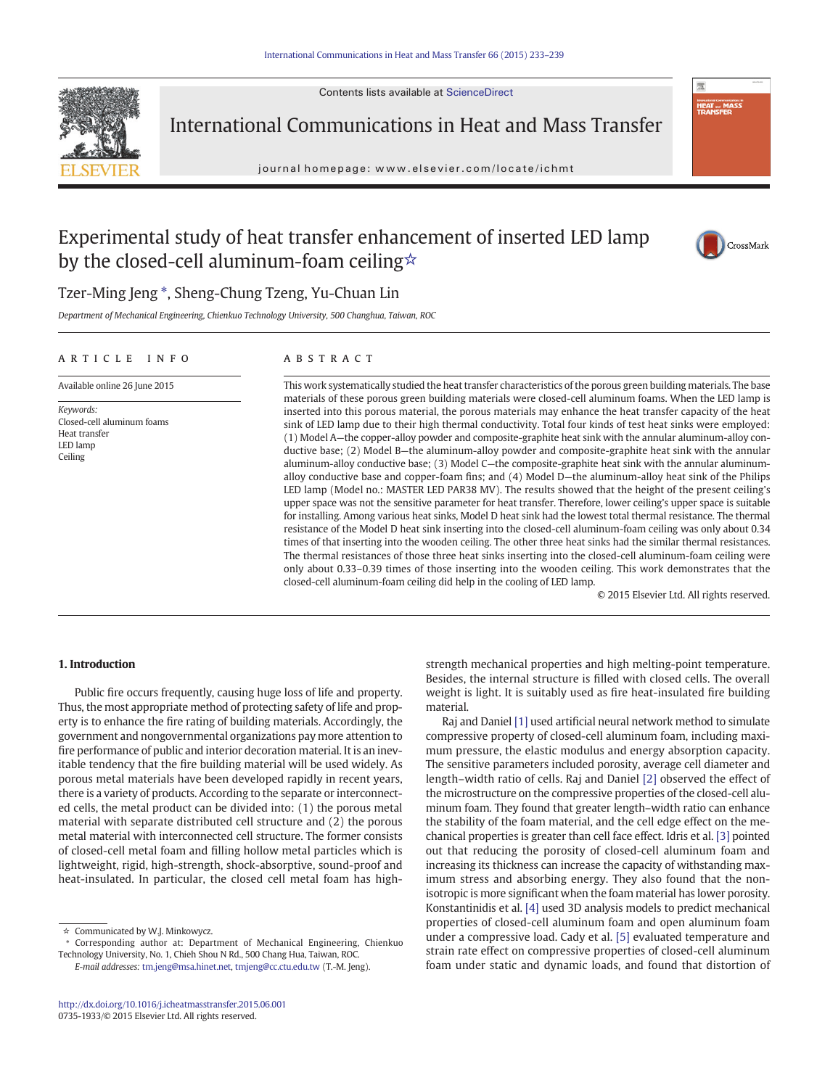Contents lists available at ScienceDirect



International Communications in Heat and Mass Transfer

journal homepage:<www.elsevier.com/locate/ichmt>



# Experimental study of heat transfer enhancement of inserted LED lamp by the closed-cell aluminum-foam ceiling☆



## Tzer-Ming Jeng  $*$ , Sheng-Chung Tzeng, Yu-Chuan Lin

Department of Mechanical Engineering, Chienkuo Technology University, 500 Changhua, Taiwan, ROC

### article info abstract

Available online 26 June 2015

Closed-cell aluminum foams

Keywords:

Heat transfer LED lamp Ceiling

This work systematically studied the heat transfer characteristics of the porous green building materials. The base materials of these porous green building materials were closed-cell aluminum foams. When the LED lamp is inserted into this porous material, the porous materials may enhance the heat transfer capacity of the heat sink of LED lamp due to their high thermal conductivity. Total four kinds of test heat sinks were employed: (1) Model A—the copper-alloy powder and composite-graphite heat sink with the annular aluminum-alloy conductive base; (2) Model B—the aluminum-alloy powder and composite-graphite heat sink with the annular aluminum-alloy conductive base; (3) Model C—the composite-graphite heat sink with the annular aluminumalloy conductive base and copper-foam fins; and (4) Model D—the aluminum-alloy heat sink of the Philips LED lamp (Model no.: MASTER LED PAR38 MV). The results showed that the height of the present ceiling's upper space was not the sensitive parameter for heat transfer. Therefore, lower ceiling's upper space is suitable for installing. Among various heat sinks, Model D heat sink had the lowest total thermal resistance. The thermal resistance of the Model D heat sink inserting into the closed-cell aluminum-foam ceiling was only about 0.34 times of that inserting into the wooden ceiling. The other three heat sinks had the similar thermal resistances. The thermal resistances of those three heat sinks inserting into the closed-cell aluminum-foam ceiling were only about 0.33–0.39 times of those inserting into the wooden ceiling. This work demonstrates that the closed-cell aluminum-foam ceiling did help in the cooling of LED lamp.

© 2015 Elsevier Ltd. All rights reserved.

### 1. Introduction

Public fire occurs frequently, causing huge loss of life and property. Thus, the most appropriate method of protecting safety of life and property is to enhance the fire rating of building materials. Accordingly, the government and nongovernmental organizations pay more attention to fire performance of public and interior decoration material. It is an inevitable tendency that the fire building material will be used widely. As porous metal materials have been developed rapidly in recent years, there is a variety of products. According to the separate or interconnected cells, the metal product can be divided into: (1) the porous metal material with separate distributed cell structure and (2) the porous metal material with interconnected cell structure. The former consists of closed-cell metal foam and filling hollow metal particles which is lightweight, rigid, high-strength, shock-absorptive, sound-proof and heat-insulated. In particular, the closed cell metal foam has high-

E-mail addresses: [tm.jeng@msa.hinet.net](mailto:tm.jeng@msa.hinet.net), [tmjeng@cc.ctu.edu.tw](mailto:tmjeng@cc.ctu.edu.tw) (T.-M. Jeng).

strength mechanical properties and high melting-point temperature. Besides, the internal structure is filled with closed cells. The overall weight is light. It is suitably used as fire heat-insulated fire building material.

Raj and Daniel [\[1\]](#page--1-0) used artificial neural network method to simulate compressive property of closed-cell aluminum foam, including maximum pressure, the elastic modulus and energy absorption capacity. The sensitive parameters included porosity, average cell diameter and length–width ratio of cells. Raj and Daniel [\[2\]](#page--1-0) observed the effect of the microstructure on the compressive properties of the closed-cell aluminum foam. They found that greater length–width ratio can enhance the stability of the foam material, and the cell edge effect on the mechanical properties is greater than cell face effect. Idris et al. [\[3\]](#page--1-0) pointed out that reducing the porosity of closed-cell aluminum foam and increasing its thickness can increase the capacity of withstanding maximum stress and absorbing energy. They also found that the nonisotropic is more significant when the foam material has lower porosity. Konstantinidis et al. [\[4\]](#page--1-0) used 3D analysis models to predict mechanical properties of closed-cell aluminum foam and open aluminum foam under a compressive load. Cady et al. [\[5\]](#page--1-0) evaluated temperature and strain rate effect on compressive properties of closed-cell aluminum foam under static and dynamic loads, and found that distortion of

<sup>☆</sup> Communicated by W.J. Minkowycz.

<sup>⁎</sup> Corresponding author at: Department of Mechanical Engineering, Chienkuo Technology University, No. 1, Chieh Shou N Rd., 500 Chang Hua, Taiwan, ROC.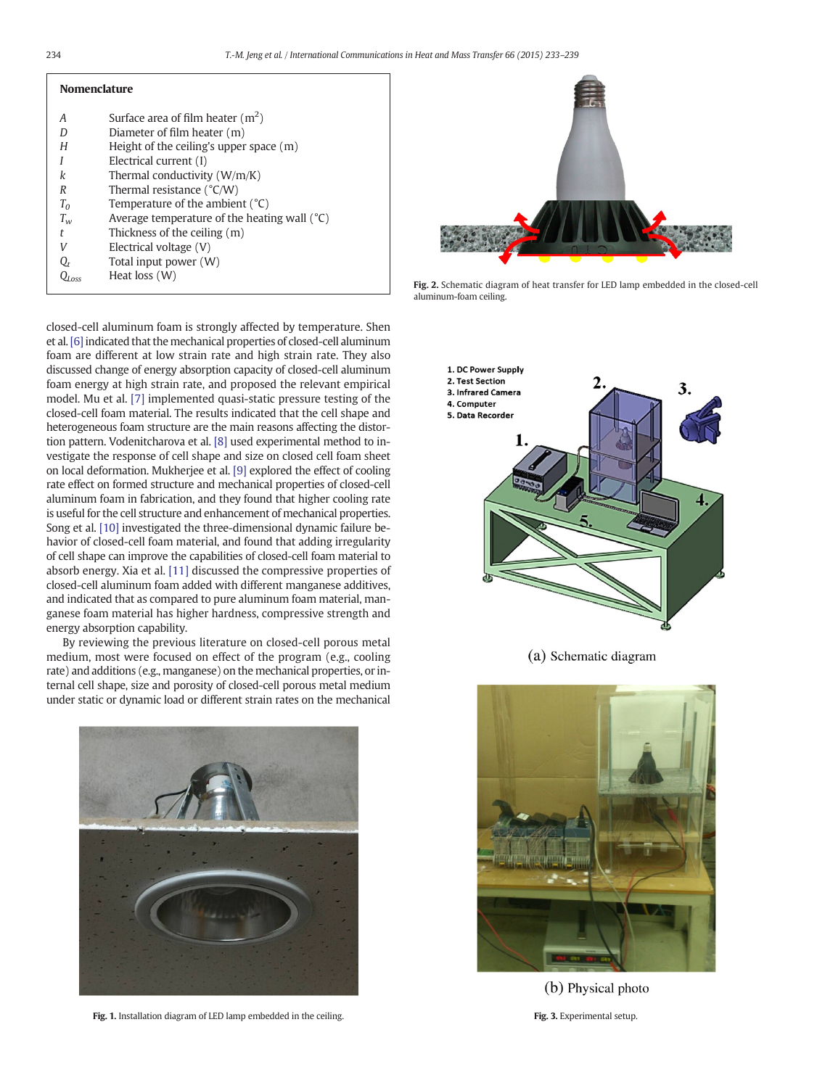| <b>Nomenclature</b> |                                                |
|---------------------|------------------------------------------------|
|                     |                                                |
| А                   | Surface area of film heater $(m2)$             |
|                     | Diameter of film heater (m)                    |
| Н                   | Height of the ceiling's upper space $(m)$      |
|                     | Electrical current (I)                         |
| k                   | Thermal conductivity $(W/m/K)$                 |
| R                   | Thermal resistance $(^{\circ}C/W)$             |
| $T_0$               | Temperature of the ambient $(^{\circ}C)$       |
| $T_{w}$             | Average temperature of the heating wall $(°C)$ |
| t                   | Thickness of the ceiling (m)                   |
|                     | Electrical voltage (V)                         |
|                     | Total input power (W)                          |
|                     | Heat loss (W)                                  |

closed-cell aluminum foam is strongly affected by temperature. Shen et al. [\[6\]](#page--1-0) indicated that the mechanical properties of closed-cell aluminum foam are different at low strain rate and high strain rate. They also discussed change of energy absorption capacity of closed-cell aluminum foam energy at high strain rate, and proposed the relevant empirical model. Mu et al. [\[7\]](#page--1-0) implemented quasi-static pressure testing of the closed-cell foam material. The results indicated that the cell shape and heterogeneous foam structure are the main reasons affecting the distortion pattern. Vodenitcharova et al. [\[8\]](#page--1-0) used experimental method to investigate the response of cell shape and size on closed cell foam sheet on local deformation. Mukherjee et al. [\[9\]](#page--1-0) explored the effect of cooling rate effect on formed structure and mechanical properties of closed-cell aluminum foam in fabrication, and they found that higher cooling rate is useful for the cell structure and enhancement of mechanical properties. Song et al. [\[10\]](#page--1-0) investigated the three-dimensional dynamic failure behavior of closed-cell foam material, and found that adding irregularity of cell shape can improve the capabilities of closed-cell foam material to absorb energy. Xia et al. [\[11\]](#page--1-0) discussed the compressive properties of closed-cell aluminum foam added with different manganese additives, and indicated that as compared to pure aluminum foam material, manganese foam material has higher hardness, compressive strength and energy absorption capability.

By reviewing the previous literature on closed-cell porous metal medium, most were focused on effect of the program (e.g., cooling rate) and additions (e.g., manganese) on the mechanical properties, or internal cell shape, size and porosity of closed-cell porous metal medium under static or dynamic load or different strain rates on the mechanical



Fig. 1. Installation diagram of LED lamp embedded in the ceiling.



Fig. 2. Schematic diagram of heat transfer for LED lamp embedded in the closed-cell aluminum-foam ceiling.



(a) Schematic diagram



(b) Physical photo

Fig. 3. Experimental setup.